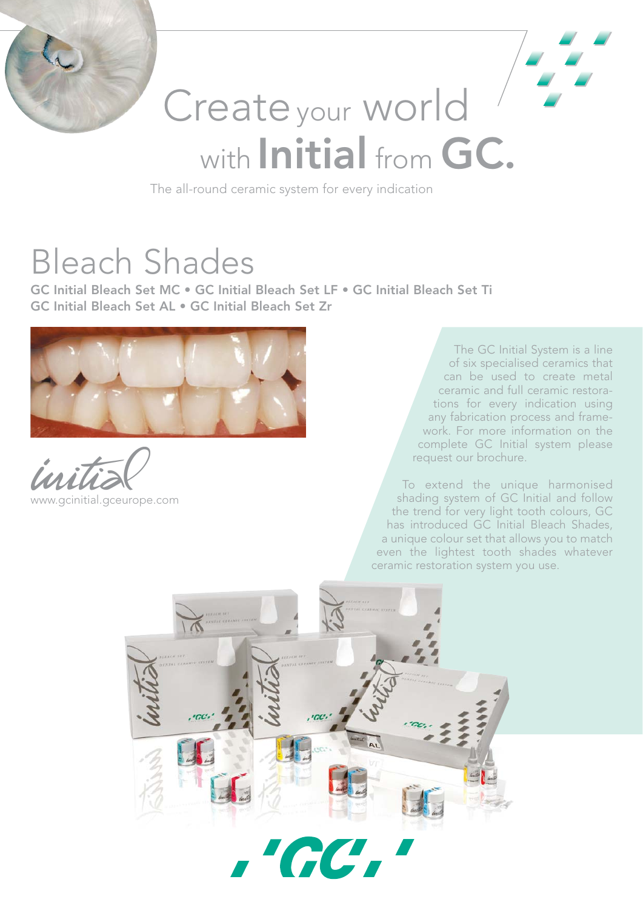

# Create your world with Initial from GC.

The all-round ceramic system for every indication

## Bleach Shades

GC Initial Bleach Set MC • GC Initial Bleach Set LF • GC Initial Bleach Set Ti GC Initial Bleach Set AL • GC Initial Bleach Set Zr



www.gcinitial.gceurope.com

The GC Initial System is a line of six specialised ceramics that can be used to create metal ceramic and full ceramic restorations for every indication using any fabrication process and framework. For more information on the complete GC Initial system please request our brochure.

To extend the unique harmonised shading system of GC Initial and follow the trend for very light tooth colours, GC has introduced GC Initial Bleach Shades, a unique colour set that allows you to match even the lightest tooth shades whatever ceramic restoration system you use.